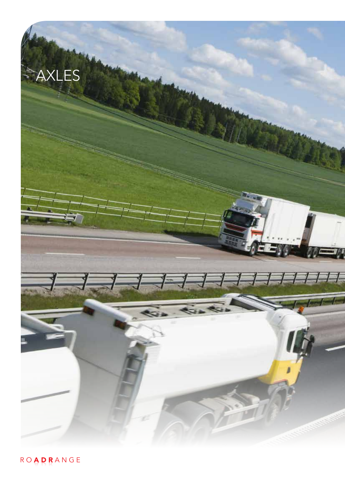

R O **A D R** A N G E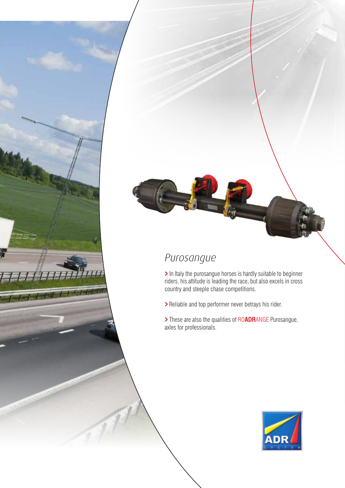# *Purosangue*

> In Italy the purosangue horses is hardly suitable to beginner riders, his attitude is leading the race, but also excels in cross country and steeple chase competitions.

> Reliable and top performer never betrays his rider.

<sup>&</sup>gt;These are also the qualities of RO**ADR**ANGE Purosangue, axles for professionals.

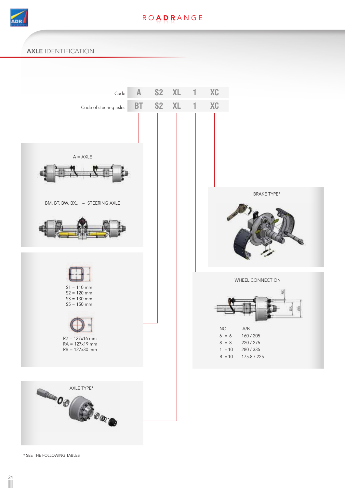

### **ROADRANGE**

#### AXLE IDENTIFICATION



\* SEE THE FOLLOWING TABLES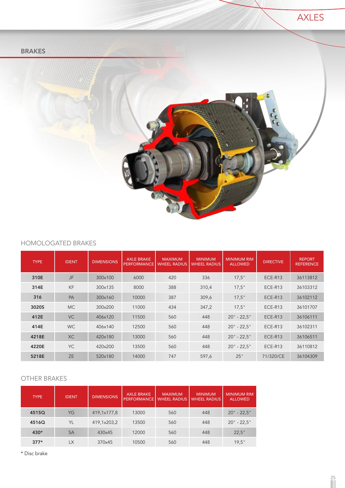



#### HOMOLOGATED BRAKES

| <b>TYPE</b> | <b>IDENT</b> | <b>DIMENSIONS</b> | <b>AXLE BRAKE</b><br><b>PERFORMANCE</b> | <b>MAXIMUM</b><br><b>WHEEL RADIUS</b> | <b>MINIMUM</b><br><b>WHEEL RADIUS</b> | <b>MINIMUM RIM</b><br><b>ALLOWED</b> | <b>DIRECTIVE</b> | <b>REPORT</b><br><b>REFERENCE</b> |
|-------------|--------------|-------------------|-----------------------------------------|---------------------------------------|---------------------------------------|--------------------------------------|------------------|-----------------------------------|
| 310E        | <b>JF</b>    | 300×100           | 6000                                    | 420                                   | 336                                   | 17.5"                                | ECE-R13          | 36113812                          |
| 314E        | <b>KF</b>    | 300x135           | 8000                                    | 388                                   | 310,4                                 | 17.5"                                | ECE-R13          | 36103312                          |
| 316         | PA           | 300x160           | 10000                                   | 387                                   | 309,6                                 | 17.5"                                | ECE-R13          | 36102112                          |
| 3020S       | <b>MC</b>    | 300×200           | 11000                                   | 434                                   | 347,2                                 | 17.5"                                | ECE-R13          | 36101707                          |
| 412E        | <b>VC</b>    | 406x120           | 11500                                   | 560                                   | 448                                   | $20" - 22.5"$                        | ECE-R13          | 36106111                          |
| 414E        | <b>WC</b>    | 406×140           | 12500                                   | 560                                   | 448                                   | $20" - 22.5"$                        | ECE-R13          | 36102311                          |
| 4218E       | <b>XC</b>    | 420×180           | 13000                                   | 560                                   | 448                                   | $20" - 22.5"$                        | ECE-R13          | 36106511                          |
| 4220E       | YC           | 420×200           | 13500                                   | 560                                   | 448                                   | $20" - 22.5"$                        | ECE-R13          | 36110812                          |
| 5218E       | <b>ZE</b>    | 520x180           | 14000                                   | 747                                   | 597,6                                 | 25"                                  | 71/320/CE        | 36104309                          |

#### OTHER BRAKES

| <b>TYPE</b> | <b>IDENT</b> | <b>DIMENSIONS</b> | <b>AXLE BRAKE</b><br><b>PERFORMANCE</b> | <b>MAXIMUM</b><br><b>WHEEL RADIUS</b> | <b>MINIMUM</b><br><b>WHEEL RADIUS</b> | <b>MINIMUM RIM</b><br><b>ALLOWED</b> |
|-------------|--------------|-------------------|-----------------------------------------|---------------------------------------|---------------------------------------|--------------------------------------|
| 4515Q       | YG           | 419,1x177,8       | 13000                                   | 560                                   | 448                                   | $20" - 22.5"$                        |
| 4516Q       | YL           | 419,1x203,2       | 13500                                   | 560                                   | 448                                   | $20" - 22.5"$                        |
| 430*        | <b>SA</b>    | 430x45            | 12000                                   | 560                                   | 448                                   | 22.5"                                |
| $377*$      | <b>LX</b>    | 370×45            | 10500                                   | 560                                   | 448                                   | 19.5"                                |

\* Disc brake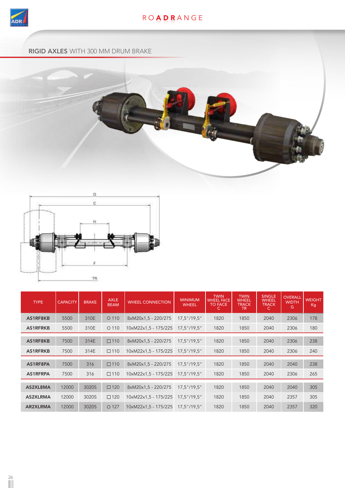

### R O **A D R** A N G E

#### RIGID AXLES WITH 300 MM DRUM BRAKE





| <b>TYPE</b>     | <b>CAPACITY</b> | <b>BRAKE</b> | <b>AXLE</b><br><b>BEAM</b> | <b>WHEEL CONNECTION</b> | <b>MINIMUM</b><br><b>WHEEL</b> | <b>TWIN</b><br><b>WHEEL FACE</b><br>TO FACE | <b>TWIN</b><br><b>WHEEL</b><br><b>TRACK</b><br>TR. | <b>SINGLE</b><br><b>WHEEL</b><br><b>TRACK</b><br>C. | <b>OVERALL</b><br><b>WIDTH</b><br>G | <b>WEIGHT</b><br>Kg |
|-----------------|-----------------|--------------|----------------------------|-------------------------|--------------------------------|---------------------------------------------|----------------------------------------------------|-----------------------------------------------------|-------------------------------------|---------------------|
| AS1RF8KB        | 5500            | 310E         | $O$ 110                    | 8xM20x1.5 - 220/275     | $17.5$ "/19.5"                 | 1820                                        | 1850                                               | 2040                                                | 2306                                | 178                 |
| AS1RFRKB        | 5500            | 310E         | $O$ 110                    | 10xM22x1,5 - 175/225    | $17.5$ "/19.5"                 | 1820                                        | 1850                                               | 2040                                                | 2306                                | 180                 |
| AS1RF8KB        | 7500            | 314E         | $\square$ 110              | 8xM20x1.5 - 220/275     | $17.5$ "/19.5"                 | 1820                                        | 1850                                               | 2040                                                | 2306                                | 238                 |
| <b>AS1RFRKB</b> | 7500            | 314E         | $\square$ 110              | 10xM22x1,5 - 175/225    | $17.5$ "/19.5"                 | 1820                                        | 1850                                               | 2040                                                | 2306                                | 240                 |
| AS1RF8PA        | 7500            | 316          | $\square$ 110              | 8xM20x1.5 - 220/275     | $17.5$ "/19.5"                 | 1820                                        | 1850                                               | 2040                                                | 2040                                | 238                 |
| AS1RFRPA        | 7500            | 316          | $\square$ 110              | 10xM22x1,5 - 175/225    | $17.5$ "/19.5"                 | 1820                                        | 1850                                               | 2040                                                | 2306                                | 265                 |
| AS2XL8MA        | 12000           | 3020S        | $\square$ 120              | 8xM20x1.5 - 220/275     | $17.5$ "/19.5"                 | 1820                                        | 1850                                               | 2040                                                | 2040                                | 305                 |
| <b>AS2XLRMA</b> | 12000           | 3020S        | $\square$ 120              | 10xM22x1,5 - 175/225    | $17.5$ "/19.5"                 | 1820                                        | 1850                                               | 2040                                                | 2357                                | 305                 |
| AR2XLRMA        | 12000           | 3020S        | O <sub>127</sub>           | 10xM22x1.5 - 175/225    | $17.5$ "/19.5"                 | 1820                                        | 1850                                               | 2040                                                | 2357                                | 320                 |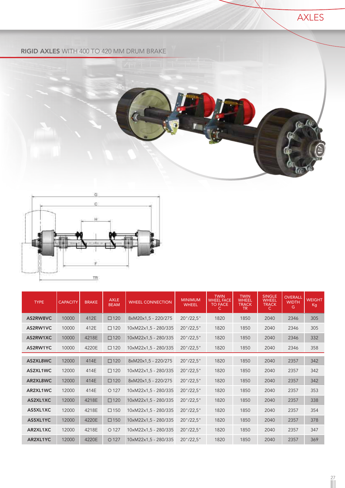

#### RIGID AXLES WITH 400 TO 420 MM DRUM BRAKE





| <b>TYPE</b> | <b>CAPACITY</b> | <b>BRAKE</b> | <b>AXLE</b><br><b>BEAM</b> | <b>WHEEL CONNECTION</b> | <b>MINIMUM</b><br><b>WHEEL</b> | <b>TWIN</b><br><b>WHEEL FACE</b><br><b>TO FACE</b><br>C. | <b>TWIN</b><br><b>WHEEL</b><br><b>TRACK</b><br>TR. | <b>SINGLE</b><br><b>WHEEL</b><br><b>TRACK</b><br>C. | <b>OVERALL</b><br><b>WIDTH</b><br>G | <b>WEIGHT</b><br>Kg |
|-------------|-----------------|--------------|----------------------------|-------------------------|--------------------------------|----------------------------------------------------------|----------------------------------------------------|-----------------------------------------------------|-------------------------------------|---------------------|
| AS2RW8VC    | 10000           | 412E         | $\square$ 120              | 8xM20x1,5 - 220/275     | $20$ "/22,5"                   | 1820                                                     | 1850                                               | 2040                                                | 2346                                | 305                 |
| AS2RW1VC    | 10000           | 412E         | $\square$ 120              | 10xM22x1,5 - 280/335    | $20$ "/22,5"                   | 1820                                                     | 1850                                               | 2040                                                | 2346                                | 305                 |
| AS2RW1XC    | 10000           | 4218E        | $\square$ 120              | 10xM22x1,5 - 280/335    | $20$ "/22,5"                   | 1820                                                     | 1850                                               | 2040                                                | 2346                                | 332                 |
| AS2RW1YC    | 10000           | 4220E        | $\square$ 120              | 10xM22x1,5 - 280/335    | $20$ "/22,5"                   | 1820                                                     | 1850                                               | 2040                                                | 2346                                | 358                 |
| AS2XL8WC    | 12000           | 414E         | $\square$ 120              | 8xM20x1,5 - 220/275     | $20$ "/22,5"                   | 1820                                                     | 1850                                               | 2040                                                | 2357                                | 342                 |
| AS2XL1WC    | 12000           | 414E         | $\square$ 120              | 10xM22x1,5 - 280/335    | $20$ "/22,5"                   | 1820                                                     | 1850                                               | 2040                                                | 2357                                | 342                 |
| AR2XL8WC    | 12000           | 414E         | $\square$ 120              | 8xM20x1,5 - 220/275     | $20$ "/22,5"                   | 1820                                                     | 1850                                               | 2040                                                | 2357                                | 342                 |
| AR2XL1WC    | 12000           | 414E         | O <sub>127</sub>           | 10xM22x1,5 - 280/335    | 20''/22.5''                    | 1820                                                     | 1850                                               | 2040                                                | 2357                                | 353                 |
| AS2XL1XC    | 12000           | 4218E        | $\square$ 120              | 10xM22x1,5 - 280/335    | $20$ "/22,5"                   | 1820                                                     | 1850                                               | 2040                                                | 2357                                | 338                 |
| AS5XL1XC    | 12000           | 4218E        | $\square$ 150              | 10xM22x1.5 - 280/335    | $20$ "/22,5"                   | 1820                                                     | 1850                                               | 2040                                                | 2357                                | 354                 |
| AS5XL1YC    | 12000           | 4220E        | $\square$ 150              | 10xM22x1,5 - 280/335    | $20$ "/22,5"                   | 1820                                                     | 1850                                               | 2040                                                | 2357                                | 378                 |
| AR2XL1XC    | 12000           | 4218E        | $O$ 127                    | 10xM22x1.5 - 280/335    | $20$ "/22,5"                   | 1820                                                     | 1850                                               | 2040                                                | 2357                                | 347                 |
| AR2XL1YC    | 12000           | 4220E        | O <sub>127</sub>           | 10xM22x1,5 - 280/335    | $20$ "/22,5"                   | 1820                                                     | 1850                                               | 2040                                                | 2357                                | 369                 |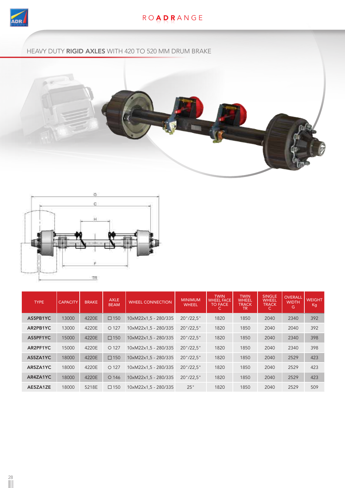

## R O **A D R** A N G E

HEAVY DUTY RIGID AXLES WITH 420 TO 520 MM DRUM BRAKE





| <b>TYPE</b> | <b>CAPACITY</b> | <b>BRAKE</b> | <b>AXLE</b><br><b>BEAM</b> | <b><i>WHEEL CONNECTION</i></b> | <b>MINIMUM</b><br><b>WHEEL</b> | <b>TWIN</b><br><b>WHEEL FACE</b><br><b>TO FACE</b> | <b>TWIN</b><br><b>WHEEL</b><br><b>TRACK</b><br>TR. | <b>SINGLE</b><br><b>WHEEL</b><br><b>TRACK</b><br>С | <b>OVERALL</b><br><b>WIDTH</b><br>G | <b>WEIGHT</b><br>Kg |
|-------------|-----------------|--------------|----------------------------|--------------------------------|--------------------------------|----------------------------------------------------|----------------------------------------------------|----------------------------------------------------|-------------------------------------|---------------------|
| AS5PB1YC    | 13000           | 4220E        | $\square$ 150              | 10xM22x1.5 - 280/335           | $20$ "/22,5"                   | 1820                                               | 1850                                               | 2040                                               | 2340                                | 392                 |
| AR2PB1YC    | 13000           | 4220E        | O <sub>127</sub>           | 10xM22x1,5 - 280/335           | $20$ "/22.5"                   | 1820                                               | 1850                                               | 2040                                               | 2040                                | 392                 |
| AS5PF1YC    | 15000           | 4220E        | $\square$ 150              | 10xM22x1.5 - 280/335           | $20$ "/22.5"                   | 1820                                               | 1850                                               | 2040                                               | 2340                                | 398                 |
| AR2PF1YC    | 15000           | 4220E        | $\bigcirc$ 127             | 10xM22x1.5 - 280/335           | $20$ "/22.5"                   | 1820                                               | 1850                                               | 2040                                               | 2340                                | 398                 |
| AS5ZA1YC    | 18000           | 4220E        | $\Box$ 150                 | 10xM22x1.5 - 280/335           | $20$ "/22.5"                   | 1820                                               | 1850                                               | 2040                                               | 2529                                | 423                 |
| AR5ZA1YC    | 18000           | 4220E        | O <sub>127</sub>           | 10xM22x1.5 - 280/335           | $20$ "/22.5"                   | 1820                                               | 1850                                               | 2040                                               | 2529                                | 423                 |
| AR4ZA1YC    | 18000           | 4220E        | O 146                      | 10xM22x1,5 - 280/335           | $20$ "/22.5"                   | 1820                                               | 1850                                               | 2040                                               | 2529                                | 423                 |
| AE5ZA1ZE    | 18000           | 5218E        | $\Box$ 150                 | 10xM22x1.5 - 280/335           | 25"                            | 1820                                               | 1850                                               | 2040                                               | 2529                                | 509                 |